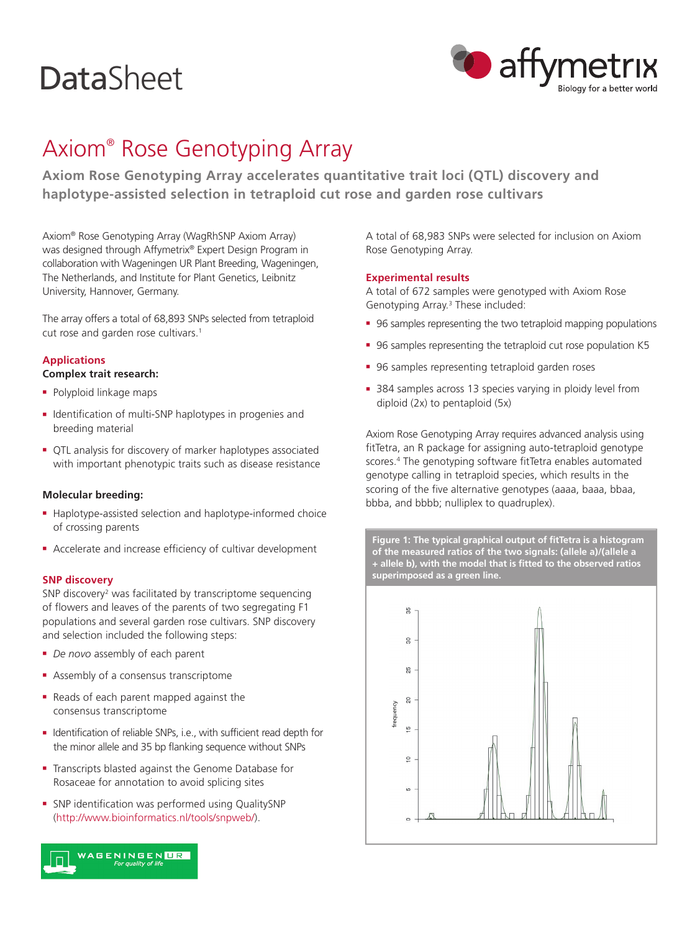# **DataSheet**



# Axiom® Rose Genotyping Array

**Axiom Rose Genotyping Array accelerates quantitative trait loci (QTL) discovery and haplotype-assisted selection in tetraploid cut rose and garden rose cultivars**

Axiom® Rose Genotyping Array (WagRhSNP Axiom Array) was designed through Affymetrix® Expert Design Program in collaboration with Wageningen UR Plant Breeding, Wageningen, The Netherlands, and Institute for Plant Genetics, Leibnitz University, Hannover, Germany.

The array offers a total of 68,893 SNPs selected from tetraploid cut rose and garden rose cultivars.<sup>1</sup>

# **Applications**

#### **Complex trait research:**

- Polyploid linkage maps
- <sup>n</sup> Identification of multi-SNP haplotypes in progenies and breeding material
- <sup>n</sup> QTL analysis for discovery of marker haplotypes associated with important phenotypic traits such as disease resistance

## **Molecular breeding:**

- Haplotype-assisted selection and haplotype-informed choice of crossing parents
- **EX Accelerate and increase efficiency of cultivar development**

#### **SNP discovery**

SNP discovery<sup>2</sup> was facilitated by transcriptome sequencing of flowers and leaves of the parents of two segregating F1 populations and several garden rose cultivars. SNP discovery and selection included the following steps:

- **•** *De novo* assembly of each parent
- **Assembly of a consensus transcriptome**
- <sup>n</sup> Reads of each parent mapped against the consensus transcriptome
- Identification of reliable SNPs, i.e., with sufficient read depth for the minor allele and 35 bp flanking sequence without SNPs
- **Transcripts blasted against the Genome Database for** Rosaceae for annotation to avoid splicing sites
- SNP identification was performed using QualitySNP (http://www.bioinformatics.nl/tools/snpweb/).



A total of 68,983 SNPs were selected for inclusion on Axiom Rose Genotyping Array.

## **Experimental results**

A total of 672 samples were genotyped with Axiom Rose Genotyping Array.<sup>3</sup> These included:

- <sup>n</sup> 96 samples representing the two tetraploid mapping populations
- 96 samples representing the tetraploid cut rose population K5
- **96 samples representing tetraploid garden roses**
- 384 samples across 13 species varying in ploidy level from diploid (2x) to pentaploid (5x)

Axiom Rose Genotyping Array requires advanced analysis using fitTetra, an R package for assigning auto-tetraploid genotype scores.4 The genotyping software fitTetra enables automated genotype calling in tetraploid species, which results in the scoring of the five alternative genotypes (aaaa, baaa, bbaa, bbba, and bbbb; nulliplex to quadruplex).

**Figure 1: The typical graphical output of fitTetra is a histogram of the measured ratios of the two signals: (allele a)/(allele a + allele b), with the model that is fitted to the observed ratios superimposed as a green line.**